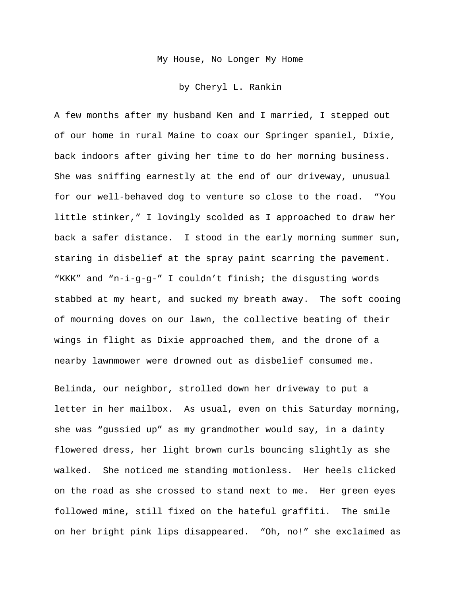My House, No Longer My Home

by Cheryl L. Rankin

A few months after my husband Ken and I married, I stepped out of our home in rural Maine to coax our Springer spaniel, Dixie, back indoors after giving her time to do her morning business. She was sniffing earnestly at the end of our driveway, unusual for our well-behaved dog to venture so close to the road. "You little stinker," I lovingly scolded as I approached to draw her back a safer distance. I stood in the early morning summer sun, staring in disbelief at the spray paint scarring the pavement. "KKK" and "n-i-g-g-" I couldn't finish; the disgusting words stabbed at my heart, and sucked my breath away. The soft cooing of mourning doves on our lawn, the collective beating of their wings in flight as Dixie approached them, and the drone of a nearby lawnmower were drowned out as disbelief consumed me.

Belinda, our neighbor, strolled down her driveway to put a letter in her mailbox. As usual, even on this Saturday morning, she was "gussied up" as my grandmother would say, in a dainty flowered dress, her light brown curls bouncing slightly as she walked. She noticed me standing motionless. Her heels clicked on the road as she crossed to stand next to me. Her green eyes followed mine, still fixed on the hateful graffiti. The smile on her bright pink lips disappeared. "Oh, no!" she exclaimed as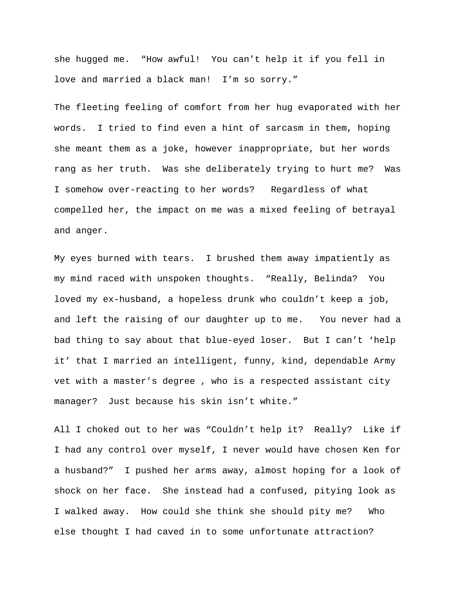she hugged me. "How awful! You can't help it if you fell in love and married a black man! I'm so sorry."

The fleeting feeling of comfort from her hug evaporated with her words. I tried to find even a hint of sarcasm in them, hoping she meant them as a joke, however inappropriate, but her words rang as her truth. Was she deliberately trying to hurt me? Was I somehow over-reacting to her words? Regardless of what compelled her, the impact on me was a mixed feeling of betrayal and anger.

My eyes burned with tears. I brushed them away impatiently as my mind raced with unspoken thoughts. "Really, Belinda? You loved my ex-husband, a hopeless drunk who couldn't keep a job, and left the raising of our daughter up to me. You never had a bad thing to say about that blue-eyed loser. But I can't 'help it' that I married an intelligent, funny, kind, dependable Army vet with a master's degree , who is a respected assistant city manager? Just because his skin isn't white."

All I choked out to her was "Couldn't help it? Really? Like if I had any control over myself, I never would have chosen Ken for a husband?" I pushed her arms away, almost hoping for a look of shock on her face. She instead had a confused, pitying look as I walked away. How could she think she should pity me? Who else thought I had caved in to some unfortunate attraction?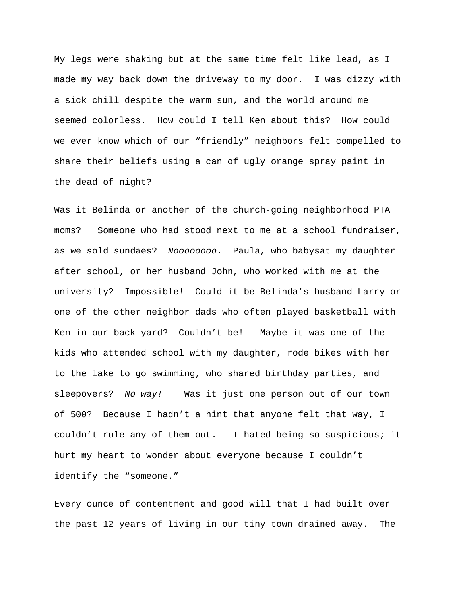My legs were shaking but at the same time felt like lead, as I made my way back down the driveway to my door. I was dizzy with a sick chill despite the warm sun, and the world around me seemed colorless. How could I tell Ken about this? How could we ever know which of our "friendly" neighbors felt compelled to share their beliefs using a can of ugly orange spray paint in the dead of night?

Was it Belinda or another of the church-going neighborhood PTA moms? Someone who had stood next to me at a school fundraiser, as we sold sundaes? *Noooooooo*. Paula, who babysat my daughter after school, or her husband John, who worked with me at the university? Impossible! Could it be Belinda's husband Larry or one of the other neighbor dads who often played basketball with Ken in our back yard? Couldn't be! Maybe it was one of the kids who attended school with my daughter, rode bikes with her to the lake to go swimming, who shared birthday parties, and sleepovers? *No way!* Was it just one person out of our town of 500? Because I hadn't a hint that anyone felt that way, I couldn't rule any of them out. I hated being so suspicious; it hurt my heart to wonder about everyone because I couldn't identify the "someone."

Every ounce of contentment and good will that I had built over the past 12 years of living in our tiny town drained away. The